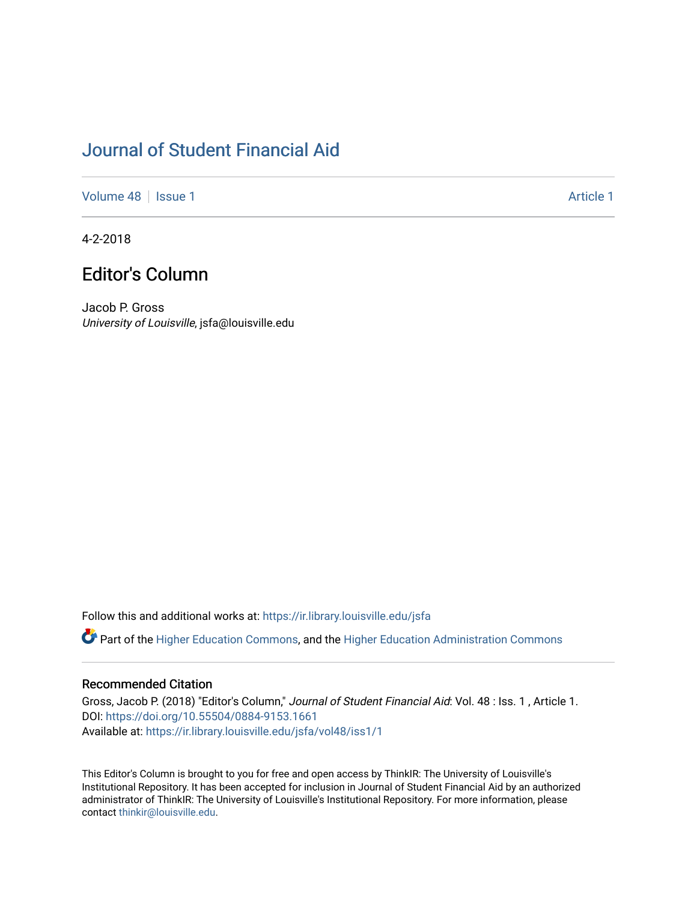## [Journal of Student Financial Aid](https://ir.library.louisville.edu/jsfa)

[Volume 48](https://ir.library.louisville.edu/jsfa/vol48) | [Issue 1](https://ir.library.louisville.edu/jsfa/vol48/iss1) Article 1

4-2-2018

## Editor's Column

Jacob P. Gross University of Louisville, jsfa@louisville.edu

Follow this and additional works at: [https://ir.library.louisville.edu/jsfa](https://ir.library.louisville.edu/jsfa?utm_source=ir.library.louisville.edu%2Fjsfa%2Fvol48%2Fiss1%2F1&utm_medium=PDF&utm_campaign=PDFCoverPages) 

Part of the [Higher Education Commons,](http://network.bepress.com/hgg/discipline/1245?utm_source=ir.library.louisville.edu%2Fjsfa%2Fvol48%2Fiss1%2F1&utm_medium=PDF&utm_campaign=PDFCoverPages) and the [Higher Education Administration Commons](http://network.bepress.com/hgg/discipline/791?utm_source=ir.library.louisville.edu%2Fjsfa%2Fvol48%2Fiss1%2F1&utm_medium=PDF&utm_campaign=PDFCoverPages) 

## Recommended Citation

Gross, Jacob P. (2018) "Editor's Column," Journal of Student Financial Aid: Vol. 48 : Iss. 1 , Article 1. DOI:<https://doi.org/10.55504/0884-9153.1661> Available at: [https://ir.library.louisville.edu/jsfa/vol48/iss1/1](https://ir.library.louisville.edu/jsfa/vol48/iss1/1?utm_source=ir.library.louisville.edu%2Fjsfa%2Fvol48%2Fiss1%2F1&utm_medium=PDF&utm_campaign=PDFCoverPages) 

This Editor's Column is brought to you for free and open access by ThinkIR: The University of Louisville's Institutional Repository. It has been accepted for inclusion in Journal of Student Financial Aid by an authorized administrator of ThinkIR: The University of Louisville's Institutional Repository. For more information, please contact [thinkir@louisville.edu](mailto:thinkir@louisville.edu).